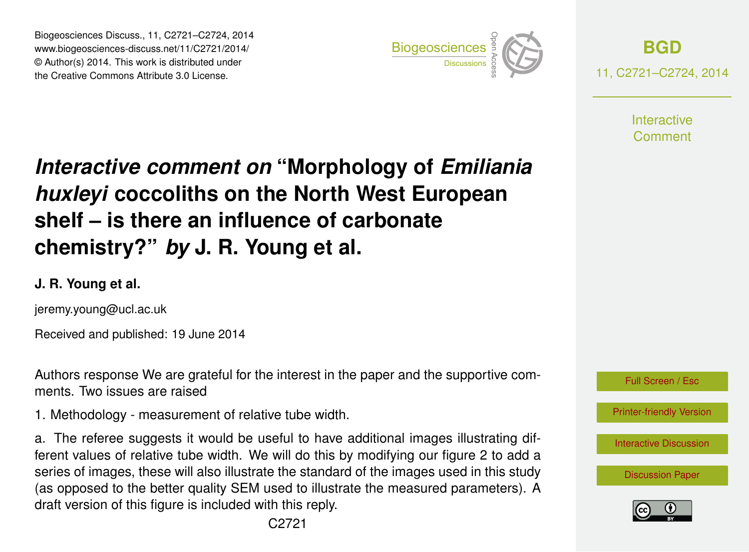Biogeosciences Discuss., 11, C2721–C2724, 2014 www.biogeosciences-discuss.net/11/C2721/2014/ © Author(s) 2014. This work is distributed under Biogeosciences Discuss., 11, C2721–C2724, 2014<br>www.biogeosciences-discuss.net/11/C2721/2014/<br>© Author(s) 2014. This work is distributed under<br>the Creative Commons Attribute 3.0 License.



**[BGD](http://www.biogeosciences-discuss.net)** 11, C2721–C2724, 2014

> **Interactive** Comment

# *Interactive comment on* **"Morphology of** *Emiliania huxleyi* **coccoliths on the North West European shelf – is there an influence of carbonate chemistry?"** *by* **J. R. Young et al.**

### **J. R. Young et al.**

jeremy.young@ucl.ac.uk

Received and published: 19 June 2014

Authors response We are grateful for the interest in the paper and the supportive comments. Two issues are raised

1. Methodology - measurement of relative tube width.

a. The referee suggests it would be useful to have additional images illustrating different values of relative tube width. We will do this by modifying our figure 2 to add a series of images, these will also illustrate the standard of the images used in this study (as opposed to the better quality SEM used to illustrate the measured parameters). A draft version of this figure is included with this reply.



[Printer-friendly Version](http://www.biogeosciences-discuss.net/11/C2721/2014/bgd-11-C2721-2014-print.pdf)

[Interactive Discussion](http://www.biogeosciences-discuss.net/11/4531/2014/bgd-11-4531-2014-discussion.html)

[Discussion Paper](http://www.biogeosciences-discuss.net/11/4531/2014/bgd-11-4531-2014.pdf)

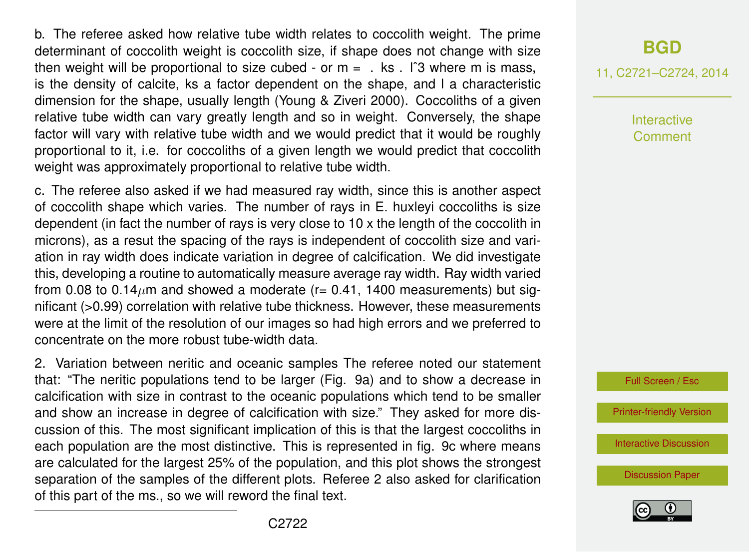b. The referee asked how relative tube width relates to coccolith weight. The prime determinant of coccolith weight is coccolith size, if shape does not change with size then weight will be proportional to size cubed - or  $m = 0$ . ks . If 3 where m is mass, is the density of calcite, ks a factor dependent on the shape, and l a characteristic dimension for the shape, usually length (Young & Ziveri 2000). Coccoliths of a given relative tube width can vary greatly length and so in weight. Conversely, the shape factor will vary with relative tube width and we would predict that it would be roughly proportional to it, i.e. for coccoliths of a given length we would predict that coccolith weight was approximately proportional to relative tube width.

c. The referee also asked if we had measured ray width, since this is another aspect of coccolith shape which varies. The number of rays in E. huxleyi coccoliths is size dependent (in fact the number of rays is very close to 10 x the length of the coccolith in microns), as a resut the spacing of the rays is independent of coccolith size and variation in ray width does indicate variation in degree of calcification. We did investigate this, developing a routine to automatically measure average ray width. Ray width varied from 0.08 to 0.14 $\mu$ m and showed a moderate (r= 0.41, 1400 measurements) but significant (>0.99) correlation with relative tube thickness. However, these measurements were at the limit of the resolution of our images so had high errors and we preferred to concentrate on the more robust tube-width data.

2. Variation between neritic and oceanic samples The referee noted our statement that: "The neritic populations tend to be larger (Fig. 9a) and to show a decrease in calcification with size in contrast to the oceanic populations which tend to be smaller and show an increase in degree of calcification with size." They asked for more discussion of this. The most significant implication of this is that the largest coccoliths in each population are the most distinctive. This is represented in fig. 9c where means are calculated for the largest 25% of the population, and this plot shows the strongest separation of the samples of the different plots. Referee 2 also asked for clarification of this part of the ms., so we will reword the final text.

## **[BGD](http://www.biogeosciences-discuss.net)**

11, C2721–C2724, 2014

Interactive Comment



[Printer-friendly Version](http://www.biogeosciences-discuss.net/11/C2721/2014/bgd-11-C2721-2014-print.pdf)

[Interactive Discussion](http://www.biogeosciences-discuss.net/11/4531/2014/bgd-11-4531-2014-discussion.html)

[Discussion Paper](http://www.biogeosciences-discuss.net/11/4531/2014/bgd-11-4531-2014.pdf)

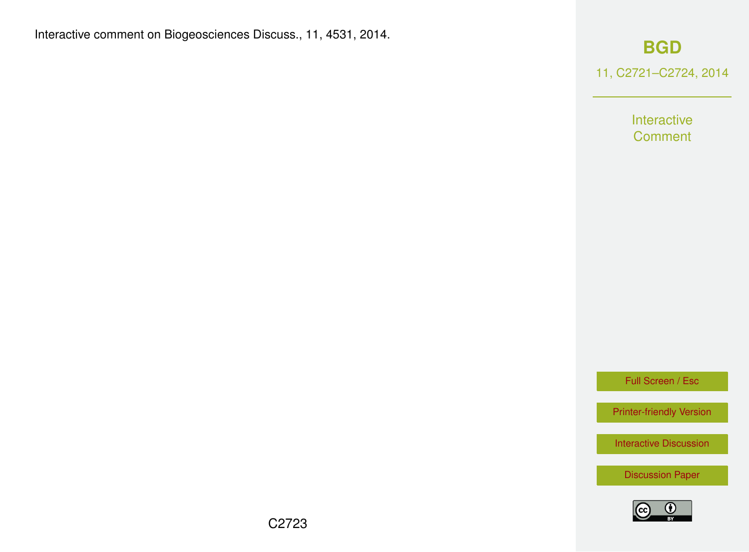#### Interactive comment on Biogeosciences Discuss., 11, 4531, 2014.

### **[BGD](http://www.biogeosciences-discuss.net)**

11, C2721–C2724, 2014

Interactive **Comment** 

Full Screen / Esc

[Printer-friendly Version](http://www.biogeosciences-discuss.net/11/C2721/2014/bgd-11-C2721-2014-print.pdf)

[Interactive Discussion](http://www.biogeosciences-discuss.net/11/4531/2014/bgd-11-4531-2014-discussion.html)

[Discussion Paper](http://www.biogeosciences-discuss.net/11/4531/2014/bgd-11-4531-2014.pdf)